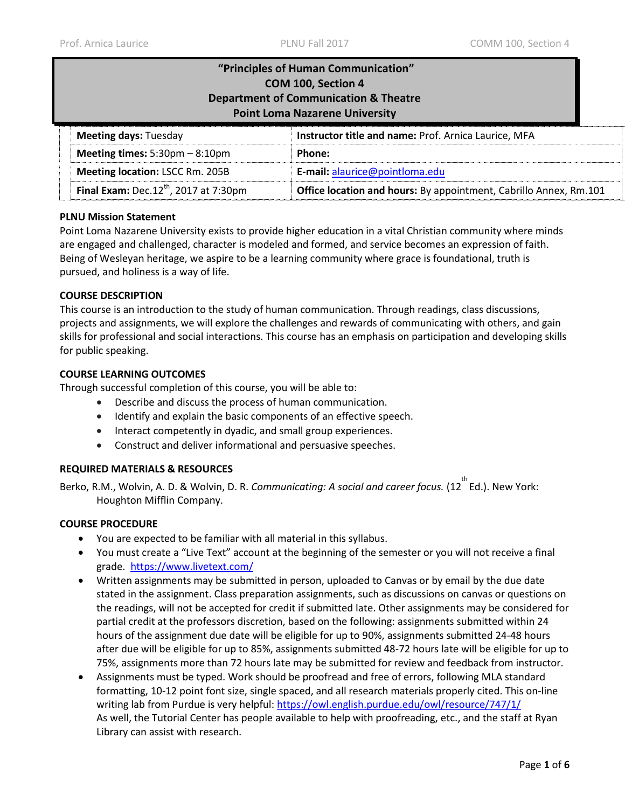| "Principles of Human Communication"<br>COM 100, Section 4<br><b>Department of Communication &amp; Theatre</b><br><b>Point Loma Nazarene University</b> |                                                      |  |
|--------------------------------------------------------------------------------------------------------------------------------------------------------|------------------------------------------------------|--|
| <b>Meeting days: Tuesday</b>                                                                                                                           | Instructor title and name: Prof. Arnica Laurice, MFA |  |
| Meeting times: $5:30 \text{pm} - 8:10 \text{pm}$<br>Phone:                                                                                             |                                                      |  |
| <b>Meeting location: LSCC Rm. 205B</b><br>E-mail: alaurice@pointloma.edu                                                                               |                                                      |  |
| Final Exam: Dec. $12^{th}$ , 2017 at 7:30pm<br>Office location and hours: By appointment, Cabrillo Annex, Rm.101                                       |                                                      |  |

# **PLNU Mission Statement**

Point Loma Nazarene University exists to provide higher education in a vital Christian community where minds are engaged and challenged, character is modeled and formed, and service becomes an expression of faith. Being of Wesleyan heritage, we aspire to be a learning community where grace is foundational, truth is pursued, and holiness is a way of life.

# **COURSE DESCRIPTION**

This course is an introduction to the study of human communication. Through readings, class discussions, projects and assignments, we will explore the challenges and rewards of communicating with others, and gain skills for professional and social interactions. This course has an emphasis on participation and developing skills for public speaking.

# **COURSE LEARNING OUTCOMES**

Through successful completion of this course, you will be able to:

- Describe and discuss the process of human communication.
- Identify and explain the basic components of an effective speech.
- Interact competently in dyadic, and small group experiences.
- Construct and deliver informational and persuasive speeches.

#### **REQUIRED MATERIALS & RESOURCES**

Berko, R.M., Wolvin, A. D. & Wolvin, D. R. *Communicating: A social and career focus.* (12<sup>th</sup> Ed.). New York: Houghton Mifflin Company.

#### **COURSE PROCEDURE**

- You are expected to be familiar with all material in this syllabus.
- You must create a "Live Text" account at the beginning of the semester or you will not receive a final grade. <https://www.livetext.com/>
- Written assignments may be submitted in person, uploaded to Canvas or by email by the due date stated in the assignment. Class preparation assignments, such as discussions on canvas or questions on the readings, will not be accepted for credit if submitted late. Other assignments may be considered for partial credit at the professors discretion, based on the following: assignments submitted within 24 hours of the assignment due date will be eligible for up to 90%, assignments submitted 24-48 hours after due will be eligible for up to 85%, assignments submitted 48-72 hours late will be eligible for up to 75%, assignments more than 72 hours late may be submitted for review and feedback from instructor.
- Assignments must be typed. Work should be proofread and free of errors, following MLA standard formatting, 10-12 point font size, single spaced, and all research materials properly cited. This on-line writing lab from Purdue is very helpful:<https://owl.english.purdue.edu/owl/resource/747/1/> As well, the Tutorial Center has people available to help with proofreading, etc., and the staff at Ryan Library can assist with research.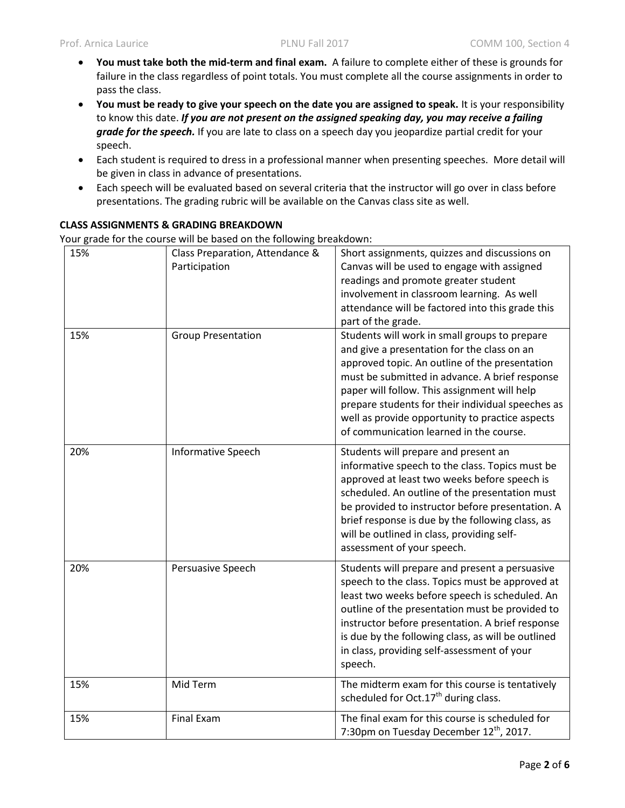- **You must take both the mid-term and final exam.** A failure to complete either of these is grounds for failure in the class regardless of point totals. You must complete all the course assignments in order to pass the class.
- **You must be ready to give your speech on the date you are assigned to speak.** It is your responsibility to know this date. *If you are not present on the assigned speaking day, you may receive a failing grade for the speech.* If you are late to class on a speech day you jeopardize partial credit for your speech.
- Each student is required to dress in a professional manner when presenting speeches. More detail will be given in class in advance of presentations.
- Each speech will be evaluated based on several criteria that the instructor will go over in class before presentations. The grading rubric will be available on the Canvas class site as well.

# **CLASS ASSIGNMENTS & GRADING BREAKDOWN**

Your grade for the course will be based on the following breakdown:

| 15% | Class Preparation, Attendance &<br>Participation | Short assignments, quizzes and discussions on<br>Canvas will be used to engage with assigned<br>readings and promote greater student<br>involvement in classroom learning. As well<br>attendance will be factored into this grade this<br>part of the grade.                                                                                                                                        |  |
|-----|--------------------------------------------------|-----------------------------------------------------------------------------------------------------------------------------------------------------------------------------------------------------------------------------------------------------------------------------------------------------------------------------------------------------------------------------------------------------|--|
| 15% | <b>Group Presentation</b>                        | Students will work in small groups to prepare<br>and give a presentation for the class on an<br>approved topic. An outline of the presentation<br>must be submitted in advance. A brief response<br>paper will follow. This assignment will help<br>prepare students for their individual speeches as<br>well as provide opportunity to practice aspects<br>of communication learned in the course. |  |
| 20% | Informative Speech                               | Students will prepare and present an<br>informative speech to the class. Topics must be<br>approved at least two weeks before speech is<br>scheduled. An outline of the presentation must<br>be provided to instructor before presentation. A<br>brief response is due by the following class, as<br>will be outlined in class, providing self-<br>assessment of your speech.                       |  |
| 20% | Persuasive Speech                                | Students will prepare and present a persuasive<br>speech to the class. Topics must be approved at<br>least two weeks before speech is scheduled. An<br>outline of the presentation must be provided to<br>instructor before presentation. A brief response<br>is due by the following class, as will be outlined<br>in class, providing self-assessment of your<br>speech.                          |  |
| 15% | Mid Term                                         | The midterm exam for this course is tentatively<br>scheduled for Oct.17 <sup>th</sup> during class.                                                                                                                                                                                                                                                                                                 |  |
| 15% | <b>Final Exam</b>                                | The final exam for this course is scheduled for<br>7:30pm on Tuesday December 12th, 2017.                                                                                                                                                                                                                                                                                                           |  |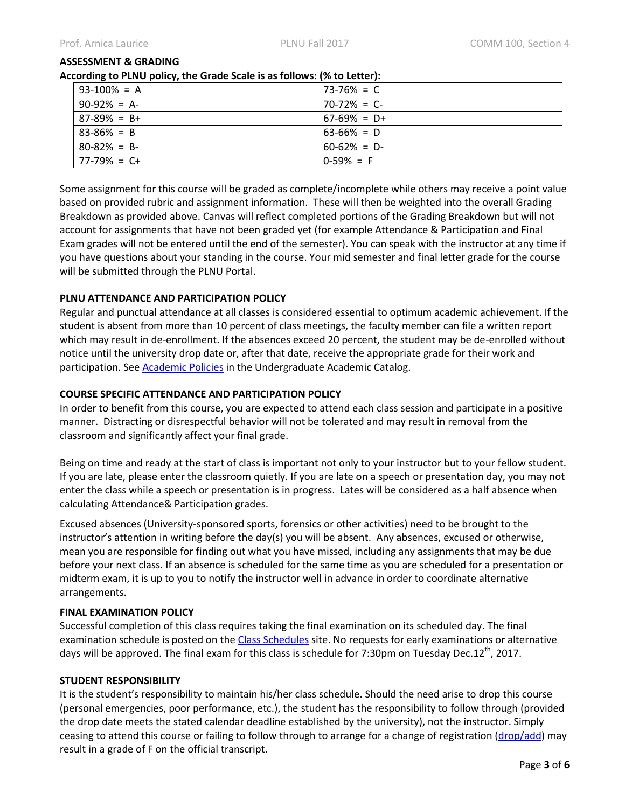#### **ASSESSMENT & GRADING**

#### **According to PLNU policy, the Grade Scale is as follows: (% to Letter):**

| $93-100\% = A$  | $73-76\% = C$   |
|-----------------|-----------------|
| $90-92\% = A$   | $70-72\% = C$   |
| $87-89\% = B+$  | $67-69\% = D+$  |
| $83 - 86\% = B$ | $63-66\% = D$   |
| $80 - 82\% = B$ | $60 - 62\% = D$ |
| $77-79\% = C+$  | $0-59\% = F$    |

Some assignment for this course will be graded as complete/incomplete while others may receive a point value based on provided rubric and assignment information. These will then be weighted into the overall Grading Breakdown as provided above. Canvas will reflect completed portions of the Grading Breakdown but will not account for assignments that have not been graded yet (for example Attendance & Participation and Final Exam grades will not be entered until the end of the semester). You can speak with the instructor at any time if you have questions about your standing in the course. Your mid semester and final letter grade for the course will be submitted through the PLNU Portal.

# **PLNU ATTENDANCE AND PARTICIPATION POLICY**

Regular and punctual attendance at all classes is considered essential to optimum academic achievement. If the student is absent from more than 10 percent of class meetings, the faculty member can file a written report which may result in de-enrollment. If the absences exceed 20 percent, the student may be de-enrolled without notice until the university drop date or, after that date, receive the appropriate grade for their work and participation. Se[e Academic Policies](http://catalog.pointloma.edu/content.php?catoid=18&navoid=1278) in the Undergraduate Academic Catalog.

# **COURSE SPECIFIC ATTENDANCE AND PARTICIPATION POLICY**

In order to benefit from this course, you are expected to attend each class session and participate in a positive manner. Distracting or disrespectful behavior will not be tolerated and may result in removal from the classroom and significantly affect your final grade.

Being on time and ready at the start of class is important not only to your instructor but to your fellow student. If you are late, please enter the classroom quietly. If you are late on a speech or presentation day, you may not enter the class while a speech or presentation is in progress. Lates will be considered as a half absence when calculating Attendance& Participation grades.

Excused absences (University-sponsored sports, forensics or other activities) need to be brought to the instructor's attention in writing before the day(s) you will be absent. Any absences, excused or otherwise, mean you are responsible for finding out what you have missed, including any assignments that may be due before your next class. If an absence is scheduled for the same time as you are scheduled for a presentation or midterm exam, it is up to you to notify the instructor well in advance in order to coordinate alternative arrangements.

#### **FINAL EXAMINATION POLICY**

Successful completion of this class requires taking the final examination on its scheduled day. The final examination schedule is posted on the [Class Schedules](http://www.pointloma.edu/experience/academics/class-schedules) site. No requests for early examinations or alternative days will be approved. The final exam for this class is schedule for 7:30pm on Tuesday Dec.12<sup>th</sup>, 2017.

#### **STUDENT RESPONSIBILITY**

It is the student's responsibility to maintain his/her class schedule. Should the need arise to drop this course (personal emergencies, poor performance, etc.), the student has the responsibility to follow through (provided the drop date meets the stated calendar deadline established by the university), not the instructor. Simply ceasing to attend this course or failing to follow through to arrange for a change of registration [\(drop/add\)](http://www.pointloma.edu/sites/default/files/filemanager/Records_Office/Change_of_Schedule_Form.pdf) may result in a grade of F on the official transcript.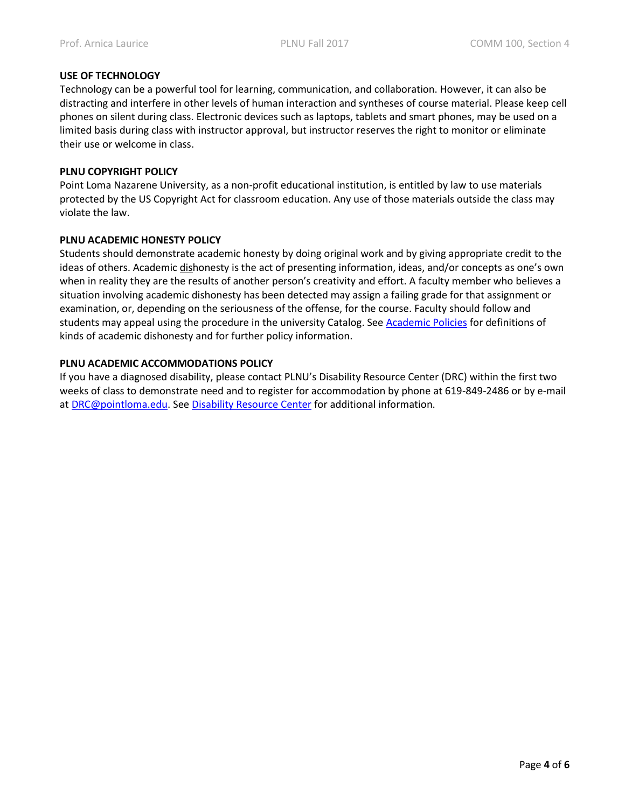# **USE OF TECHNOLOGY**

Technology can be a powerful tool for learning, communication, and collaboration. However, it can also be distracting and interfere in other levels of human interaction and syntheses of course material. Please keep cell phones on silent during class. Electronic devices such as laptops, tablets and smart phones, may be used on a limited basis during class with instructor approval, but instructor reserves the right to monitor or eliminate their use or welcome in class.

# **PLNU COPYRIGHT POLICY**

Point Loma Nazarene University, as a non-profit educational institution, is entitled by law to use materials protected by the US Copyright Act for classroom education. Any use of those materials outside the class may violate the law.

# **PLNU ACADEMIC HONESTY POLICY**

Students should demonstrate academic honesty by doing original work and by giving appropriate credit to the ideas of others. Academic dishonesty is the act of presenting information, ideas, and/or concepts as one's own when in reality they are the results of another person's creativity and effort. A faculty member who believes a situation involving academic dishonesty has been detected may assign a failing grade for that assignment or examination, or, depending on the seriousness of the offense, for the course. Faculty should follow and students may appeal using the procedure in the university Catalog. See [Academic Policies](http://catalog.pointloma.edu/content.php?catoid=18&navoid=1278) for definitions of kinds of academic dishonesty and for further policy information.

# **PLNU ACADEMIC ACCOMMODATIONS POLICY**

If you have a diagnosed disability, please contact PLNU's Disability Resource Center (DRC) within the first two weeks of class to demonstrate need and to register for accommodation by phone at 619-849-2486 or by e-mail at [DRC@pointloma.edu.](mailto:DRC@pointloma.edu) See [Disability Resource Center](http://www.pointloma.edu/experience/offices/administrative-offices/academic-advising-office/disability-resource-center) for additional information.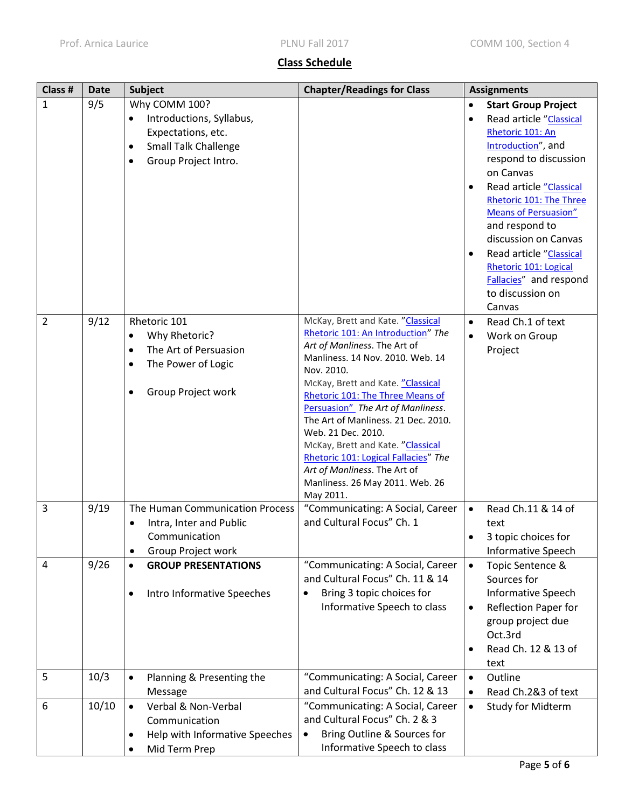# **Class Schedule**

| Class #        | <b>Date</b> | <b>Subject</b>                                                                                                                                                | <b>Chapter/Readings for Class</b>                                                                                                                                                                                                                                                                                                                                                                                                                                                                 | <b>Assignments</b>                                                                                                                                                                                                                                                                                                                                                                                         |
|----------------|-------------|---------------------------------------------------------------------------------------------------------------------------------------------------------------|---------------------------------------------------------------------------------------------------------------------------------------------------------------------------------------------------------------------------------------------------------------------------------------------------------------------------------------------------------------------------------------------------------------------------------------------------------------------------------------------------|------------------------------------------------------------------------------------------------------------------------------------------------------------------------------------------------------------------------------------------------------------------------------------------------------------------------------------------------------------------------------------------------------------|
| 1              | 9/5         | Why COMM 100?<br>Introductions, Syllabus,<br>$\bullet$<br>Expectations, etc.<br><b>Small Talk Challenge</b><br>$\bullet$<br>Group Project Intro.<br>$\bullet$ |                                                                                                                                                                                                                                                                                                                                                                                                                                                                                                   | <b>Start Group Project</b><br>Read article "Classical<br>$\bullet$<br>Rhetoric 101: An<br>Introduction", and<br>respond to discussion<br>on Canvas<br>Read article "Classical<br>Rhetoric 101: The Three<br><b>Means of Persuasion"</b><br>and respond to<br>discussion on Canvas<br>Read article "Classical<br>$\bullet$<br>Rhetoric 101: Logical<br>Fallacies" and respond<br>to discussion on<br>Canvas |
| $\overline{2}$ | 9/12        | Rhetoric 101<br>Why Rhetoric?<br>$\bullet$<br>The Art of Persuasion<br>$\bullet$<br>The Power of Logic<br>$\bullet$<br>Group Project work                     | McKay, Brett and Kate. "Classical<br>Rhetoric 101: An Introduction" The<br>Art of Manliness. The Art of<br>Manliness. 14 Nov. 2010. Web. 14<br>Nov. 2010.<br>McKay, Brett and Kate. "Classical<br>Rhetoric 101: The Three Means of<br>Persuasion" The Art of Manliness.<br>The Art of Manliness. 21 Dec. 2010.<br>Web. 21 Dec. 2010.<br>McKay, Brett and Kate. "Classical<br>Rhetoric 101: Logical Fallacies" The<br>Art of Manliness. The Art of<br>Manliness. 26 May 2011. Web. 26<br>May 2011. | Read Ch.1 of text<br>$\bullet$<br>Work on Group<br>Project                                                                                                                                                                                                                                                                                                                                                 |
| 3              | 9/19        | The Human Communication Process<br>Intra, Inter and Public<br>$\bullet$<br>Communication<br>Group Project work<br>$\bullet$                                   | "Communicating: A Social, Career<br>and Cultural Focus" Ch. 1                                                                                                                                                                                                                                                                                                                                                                                                                                     | Read Ch.11 & 14 of<br>$\bullet$<br>text<br>3 topic choices for<br>Informative Speech                                                                                                                                                                                                                                                                                                                       |
| 4              | 9/26        | <b>GROUP PRESENTATIONS</b><br>$\bullet$<br>Intro Informative Speeches<br>$\bullet$                                                                            | "Communicating: A Social, Career<br>and Cultural Focus" Ch. 11 & 14<br>Bring 3 topic choices for<br>$\bullet$<br>Informative Speech to class                                                                                                                                                                                                                                                                                                                                                      | Topic Sentence &<br>$\bullet$<br>Sources for<br><b>Informative Speech</b><br><b>Reflection Paper for</b><br>$\bullet$<br>group project due<br>Oct.3rd<br>Read Ch. 12 & 13 of<br>text                                                                                                                                                                                                                       |
| 5              | 10/3        | Planning & Presenting the<br>$\bullet$<br>Message                                                                                                             | "Communicating: A Social, Career<br>and Cultural Focus" Ch. 12 & 13                                                                                                                                                                                                                                                                                                                                                                                                                               | Outline<br>$\bullet$<br>Read Ch.2&3 of text<br>$\bullet$                                                                                                                                                                                                                                                                                                                                                   |
| 6              | 10/10       | Verbal & Non-Verbal<br>$\bullet$<br>Communication<br>Help with Informative Speeches<br>$\bullet$<br>Mid Term Prep                                             | "Communicating: A Social, Career<br>and Cultural Focus" Ch. 2 & 3<br>Bring Outline & Sources for<br>Informative Speech to class                                                                                                                                                                                                                                                                                                                                                                   | Study for Midterm<br>$\bullet$                                                                                                                                                                                                                                                                                                                                                                             |